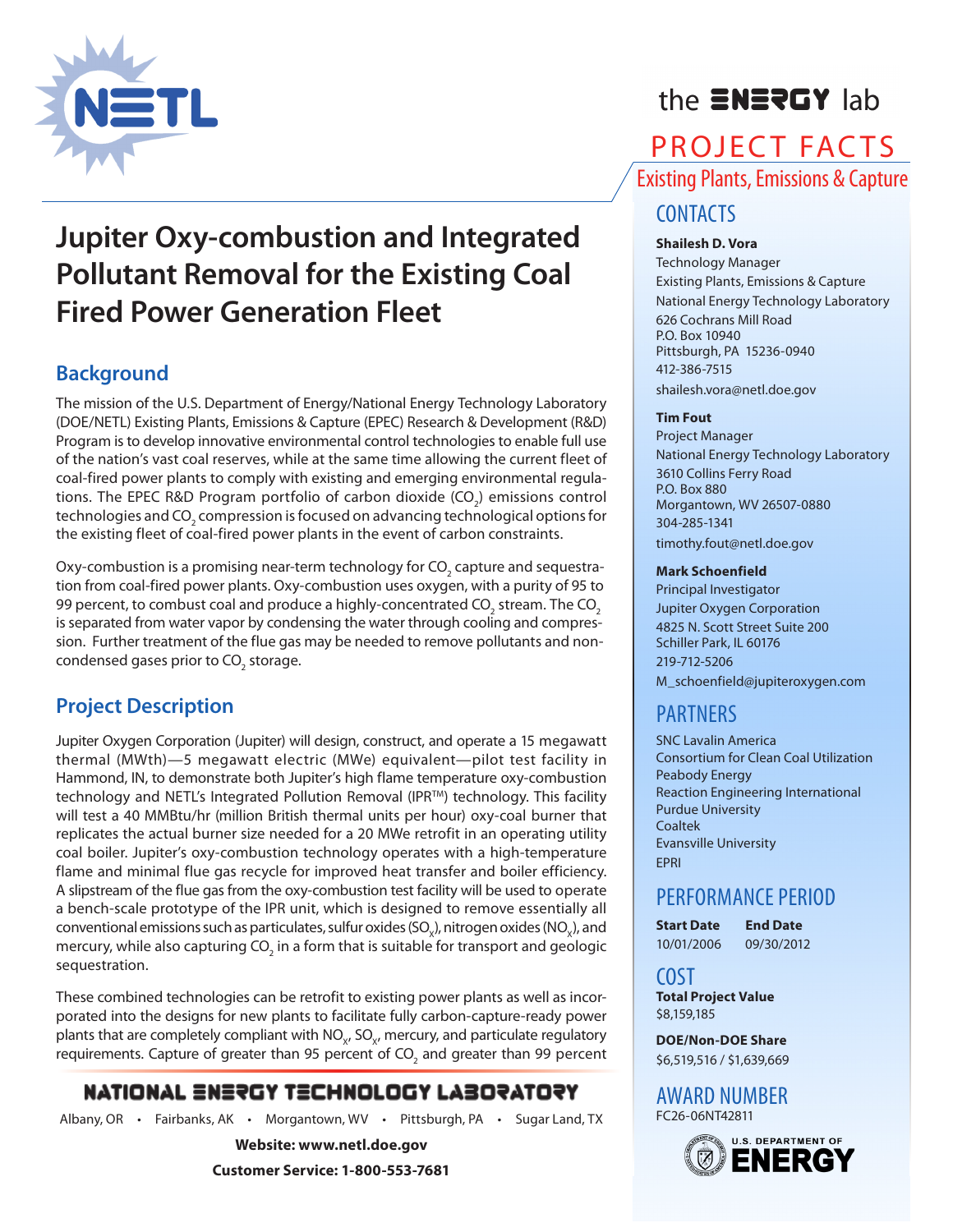

# the **ENERGY** lab

## PROJECT FACTS Existing Plants, Emissions & Capture

# **Jupiter Oxy-combustion and Integrated Pollutant Removal for the Existing Coal Fired Power Generation Fleet**

## **Background**

The mission of the U.S. Department of Energy/National Energy Technology Laboratory (DOE/NETL) Existing Plants, Emissions & Capture (EPEC) Research & Development (R&D) Program is to develop innovative environmental control technologies to enable full use of the nation's vast coal reserves, while at the same time allowing the current fleet of coal-fired power plants to comply with existing and emerging environmental regulations. The EPEC R&D Program portfolio of carbon dioxide (CO<sub>2</sub>) emissions control technologies and CO<sub>2</sub> compression is focused on advancing technological options for the existing fleet of coal-fired power plants in the event of carbon constraints.

Oxy-combustion is a promising near-term technology for CO<sub>2</sub> capture and sequestration from coal-fired power plants. Oxy-combustion uses oxygen, with a purity of 95 to 99 percent, to combust coal and produce a highly-concentrated CO<sub>2</sub> stream. The CO<sub>2</sub> is separated from water vapor by condensing the water through cooling and compression. Further treatment of the flue gas may be needed to remove pollutants and noncondensed gases prior to CO<sub>2</sub> storage.

## **Project Description**

Jupiter Oxygen Corporation (Jupiter) will design, construct, and operate a 15 megawatt thermal (MWth)—5 megawatt electric (MWe) equivalent—pilot test facility in Hammond, IN, to demonstrate both Jupiter's high flame temperature oxy-combustion technology and NETL's Integrated Pollution Removal (IPR<sup>TM</sup>) technology. This facility will test a 40 MMBtu/hr (million British thermal units per hour) oxy-coal burner that replicates the actual burner size needed for a 20 MWe retrofit in an operating utility coal boiler. Jupiter's oxy-combustion technology operates with a high-temperature flame and minimal flue gas recycle for improved heat transfer and boiler efficiency. A slipstream of the flue gas from the oxy-combustion test facility will be used to operate a bench-scale prototype of the IPR unit, which is designed to remove essentially all conventional emissions such as particulates, sulfur oxides (SO $_{\circ}$ ), nitrogen oxides (NO $_{\circ}$ ), and mercury, while also capturing CO<sub>2</sub> in a form that is suitable for transport and geologic sequestration.

These combined technologies can be retrofit to existing power plants as well as incorporated into the designs for new plants to facilitate fully carbon-capture-ready power plants that are completely compliant with  $NO<sub>vt</sub>$ , SO<sub>V</sub>, mercury, and particulate regulatory requirements. Capture of greater than 95 percent of CO<sub>2</sub> and greater than 99 percent

## **NATIONAL ENERGY TECHNOLOGY LABORATORY**

Albany, OR • Fairbanks, AK • Morgantown, WV • Pittsburgh, PA • Sugar Land, TX

**Website: www.netl.doe.gov**

**Customer Service: 1-800-553-7681**

## **CONTACTS**

#### **Shailesh D. Vora**

Technology Manager Existing Plants, Emissions & Capture National Energy Technology Laboratory 626 Cochrans Mill Road P.O. Box 10940 Pittsburgh, PA 15236-0940 412-386-7515 shailesh.vora@netl.doe.gov

#### **Tim Fout**

Project Manager National Energy Technology Laboratory 3610 Collins Ferry Road P.O. Box 880 Morgantown, WV 26507-0880 304-285-1341 timothy.fout@netl.doe.gov

#### **Mark Schoenfield**

Principal Investigator Jupiter Oxygen Corporation 4825 N. Scott Street Suite 200 Schiller Park, IL 60176 219-712-5206 M\_schoenfield@jupiteroxygen.com

## PARTNERS

SNC Lavalin America Consortium for Clean Coal Utilization Peabody Energy Reaction Engineering International Purdue University Coaltek Evansville University EPRI

## PERFORMANCE PERIOD

**Start Date End Date** 10/01/2006 09/30/2012

COST **Total Project Value** \$8,159,185

**DOE/Non-DOE Share** \$6,519,516 / \$1,639,669

#### AWARD NUMBER FC26-06NT42811